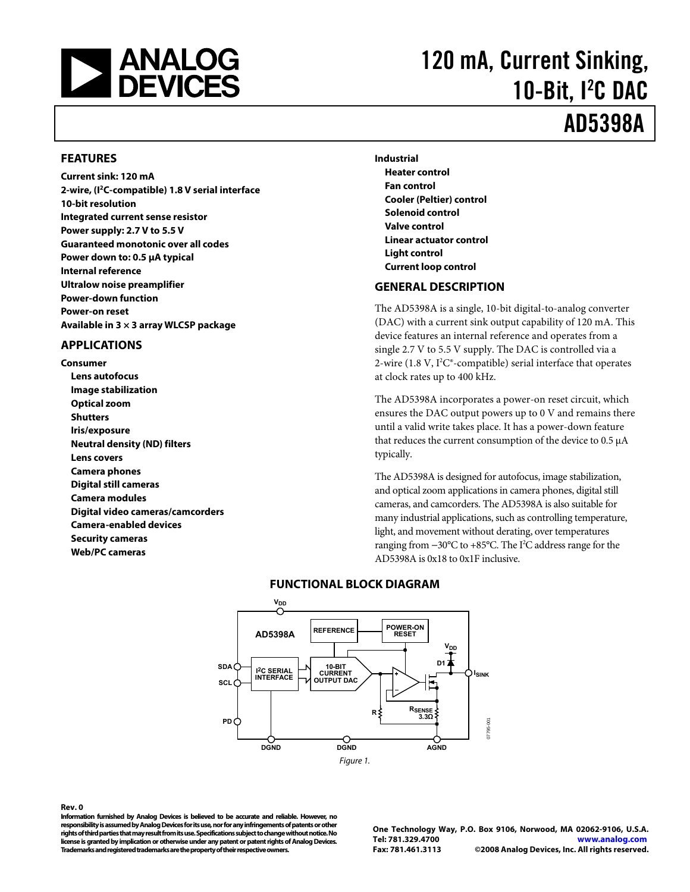<span id="page-0-0"></span>

# 120 mA, Current Sinking, 10-Bit, <sup>2</sup>C DAC

## AD5398A

#### **FEATURES**

**Current sink: 120 mA 2-wire, (I2C-compatible) 1.8 V serial interface 10-bit resolution Integrated current sense resistor Power supply: 2.7 V to 5.5 V Guaranteed monotonic over all codes Power down to: 0.5 μA typical Internal reference Ultralow noise preamplifier Power-down function Power-on reset Available in 3 × 3 array WLCSP package** 

#### **APPLICATIONS**

**Consumer Lens autofocus Image stabilization Optical zoom Shutters Iris/exposure Neutral density (ND) filters Lens covers Camera phones Digital still cameras Camera modules Digital video cameras/camcorders Camera-enabled devices Security cameras Web/PC cameras** 

**Industrial Heater control Fan control Cooler (Peltier) control Solenoid control Valve control Linear actuator control Light control Current loop control** 

#### **GENERAL DESCRIPTION**

The AD5398A is a single, 10-bit digital-to-analog converter (DAC) with a current sink output capability of 120 mA. This device features an internal reference and operates from a single 2.7 V to 5.5 V supply. The DAC is controlled via a 2-wire (1.8 V,  $I^2C^*$ -compatible) serial interface that operates at clock rates up to 400 kHz.

The AD5398A incorporates a power-on reset circuit, which ensures the DAC output powers up to 0 V and remains there until a valid write takes place. It has a power-down feature that reduces the current consumption of the device to 0.5 μA typically.

The AD5398A is designed for autofocus, image stabilization, and optical zoom applications in camera phones, digital still cameras, and camcorders. The AD5398A is also suitable for many industrial applications, such as controlling temperature, light, and movement without derating, over temperatures ranging from -30°C to +85°C. The I<sup>2</sup>C address range for the AD5398A is 0x18 to 0x1F inclusive.



#### **FUNCTIONAL BLOCK DIAGRAM**

#### **Rev. 0**

**Information furnished by Analog Devices is believed to be accurate and reliable. However, no responsibility is assumed by Analog Devices for its use, nor for any infringements of patents or other rights of third parties that may result from its use. Specifications subject to change without notice. No license is granted by implication or otherwise under any patent or patent rights of Analog Devices. Trademarks and registered trademarks are the property of their respective owners.** 

**One Technology Way, P.O. Box 9106, Norwood, MA 02062-9106, U.S.A. Tel: 781.329.4700 www.analog.com Fax: 781.461.3113 ©2008 Analog Devices, Inc. All rights reserved.**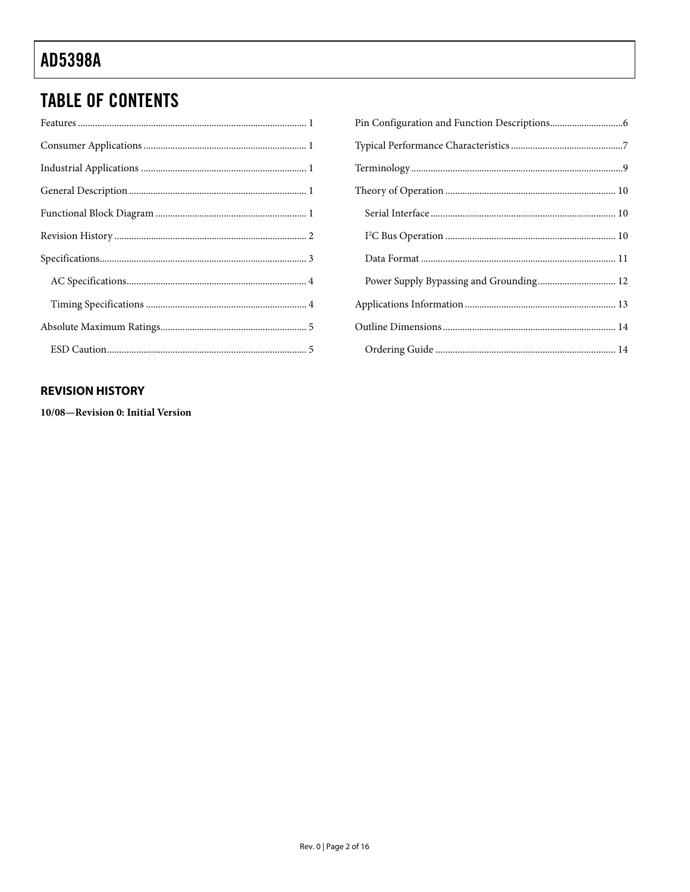### <span id="page-1-0"></span>**TABLE OF CONTENTS**

| Power Supply Bypassing and Grounding 12 |
|-----------------------------------------|
|                                         |
|                                         |
|                                         |

#### **REVISION HISTORY**

10/08-Revision 0: Initial Version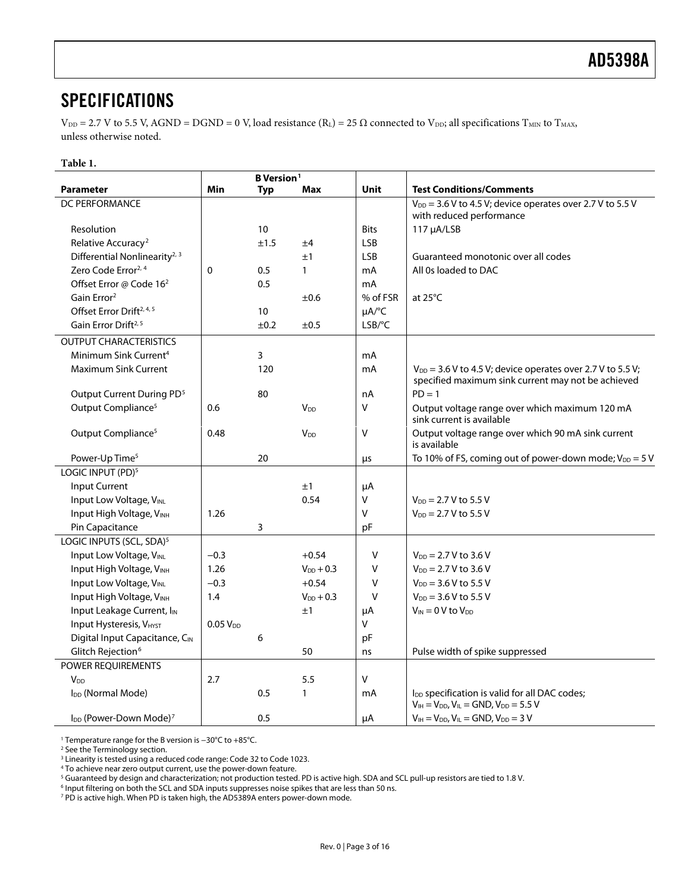### <span id="page-2-0"></span>**SPECIFICATIONS**

 $V_{DD} = 2.7$  V to 5.5 V, AGND = DGND = 0 V, load resistance (R<sub>L</sub>) = 25  $\Omega$  connected to V<sub>DD</sub>; all specifications T<sub>MIN</sub> to T<sub>MAX</sub>, unless otherwise noted.

#### **Table 1.**

<span id="page-2-2"></span><span id="page-2-1"></span>

|                                                | <b>B</b> Version <sup>1</sup> |            |                        |             |                                                                                                                       |  |  |  |
|------------------------------------------------|-------------------------------|------------|------------------------|-------------|-----------------------------------------------------------------------------------------------------------------------|--|--|--|
| <b>Parameter</b>                               | Min                           | <b>Typ</b> | Max                    | Unit        | <b>Test Conditions/Comments</b>                                                                                       |  |  |  |
| <b>DC PERFORMANCE</b>                          |                               |            |                        |             | $V_{DD}$ = 3.6 V to 4.5 V; device operates over 2.7 V to 5.5 V                                                        |  |  |  |
|                                                |                               |            |                        |             | with reduced performance                                                                                              |  |  |  |
| Resolution                                     |                               | 10         |                        | <b>Bits</b> | 117 µA/LSB                                                                                                            |  |  |  |
| Relative Accuracy <sup>2</sup>                 |                               | ±1.5       | ±4                     | <b>LSB</b>  |                                                                                                                       |  |  |  |
| Differential Nonlinearity <sup>2, 3</sup>      |                               |            | ±1                     | <b>LSB</b>  | Guaranteed monotonic over all codes                                                                                   |  |  |  |
| Zero Code Error <sup>2, 4</sup>                | 0                             | 0.5        | $\mathbf{1}$           | mA          | All 0s loaded to DAC                                                                                                  |  |  |  |
| Offset Error @ Code 16 <sup>2</sup>            |                               | 0.5        |                        | mA          |                                                                                                                       |  |  |  |
| Gain Error <sup>2</sup>                        |                               |            | ±0.6                   | % of FSR    | at $25^{\circ}$ C                                                                                                     |  |  |  |
| Offset Error Drift <sup>2, 4, 5</sup>          |                               | 10         |                        | µA/°C       |                                                                                                                       |  |  |  |
| Gain Error Drift <sup>2, 5</sup>               |                               | ±0.2       | ±0.5                   | LSB/°C      |                                                                                                                       |  |  |  |
| <b>OUTPUT CHARACTERISTICS</b>                  |                               |            |                        |             |                                                                                                                       |  |  |  |
| Minimum Sink Current <sup>4</sup>              |                               | 3          |                        | mA          |                                                                                                                       |  |  |  |
| <b>Maximum Sink Current</b>                    |                               | 120        |                        | mA          | $V_{DD}$ = 3.6 V to 4.5 V; device operates over 2.7 V to 5.5 V;<br>specified maximum sink current may not be achieved |  |  |  |
| Output Current During PD <sup>5</sup>          |                               | 80         |                        | nA          | $PD = 1$                                                                                                              |  |  |  |
| Output Compliance <sup>5</sup>                 | 0.6                           |            | V <sub>DD</sub>        | V           | Output voltage range over which maximum 120 mA<br>sink current is available                                           |  |  |  |
| Output Compliance <sup>5</sup>                 | 0.48                          |            | <b>V</b> <sub>DD</sub> | v           | Output voltage range over which 90 mA sink current<br>is available                                                    |  |  |  |
| Power-Up Time <sup>5</sup>                     |                               | 20         |                        | μs          | To 10% of FS, coming out of power-down mode; $V_{DD} = 5 V$                                                           |  |  |  |
| LOGIC INPUT (PD) <sup>5</sup>                  |                               |            |                        |             |                                                                                                                       |  |  |  |
| Input Current                                  |                               |            | ±1                     | $\mu$ A     |                                                                                                                       |  |  |  |
| Input Low Voltage, VINL                        |                               |            | 0.54                   | V           | $V_{DD} = 2.7 V$ to 5.5 V                                                                                             |  |  |  |
| Input High Voltage, VINH                       | 1.26                          |            |                        | v           | $V_{DD} = 2.7 V$ to 5.5 V                                                                                             |  |  |  |
| Pin Capacitance                                |                               | 3          |                        | pF          |                                                                                                                       |  |  |  |
| LOGIC INPUTS (SCL, SDA) <sup>5</sup>           |                               |            |                        |             |                                                                                                                       |  |  |  |
| Input Low Voltage, VINL                        | $-0.3$                        |            | $+0.54$                | V           | $V_{DD}$ = 2.7 V to 3.6 V                                                                                             |  |  |  |
| Input High Voltage, VINH                       | 1.26                          |            | $V_{DD}$ + 0.3         | V           | $V_{DD} = 2.7 V to 3.6 V$                                                                                             |  |  |  |
| Input Low Voltage, VINL                        | $-0.3$                        |            | $+0.54$                | V           | $V_{DD} = 3.6 V$ to 5.5 V                                                                                             |  |  |  |
| Input High Voltage, VINH                       | 1.4                           |            | $V_{DD}$ + 0.3         | $\vee$      | $V_{DD} = 3.6 V$ to 5.5 V                                                                                             |  |  |  |
| Input Leakage Current, I <sub>IN</sub>         |                               |            | ±1                     | μA          | $V_{IN} = 0 V$ to $V_{DD}$                                                                                            |  |  |  |
| Input Hysteresis, VHYST                        | $0.05$ $V_{DD}$               |            |                        | V           |                                                                                                                       |  |  |  |
| Digital Input Capacitance, CIN                 |                               | 6          |                        | pF          |                                                                                                                       |  |  |  |
| Glitch Rejection <sup>6</sup>                  |                               |            | 50                     | ns          | Pulse width of spike suppressed                                                                                       |  |  |  |
| POWER REQUIREMENTS                             |                               |            |                        |             |                                                                                                                       |  |  |  |
| <b>V</b> <sub>DD</sub>                         | 2.7                           |            | 5.5                    | V           |                                                                                                                       |  |  |  |
| I <sub>DD</sub> (Normal Mode)                  |                               | 0.5        | 1                      | mA          | l <sub>DD</sub> specification is valid for all DAC codes;<br>$V_{IH} = V_{DD}$ , $V_{IL} = GND$ , $V_{DD} = 5.5$ V    |  |  |  |
| I <sub>DD</sub> (Power-Down Mode) <sup>7</sup> |                               | 0.5        |                        | μA          | $V_{IH} = V_{DD}$ , $V_{IL} = GND$ , $V_{DD} = 3$ V                                                                   |  |  |  |

1 Temperature range for the B version is −30°C to +85°C. 2

<sup>2</sup> See the Terminology section.

<sup>4</sup> To achieve near zero output current, use the power-down feature.

<sup>5</sup> Guaranteed by design and characterization; not production tested. PD is active high. SDA and SCL pull-up resistors are tied to 1.8 V.

<sup>6</sup> Input filtering on both the SCL and SDA inputs suppresses noise spikes that are less than 50 ns.

7 PD is active high. When PD is taken high, the AD5389A enters power-down mode.

 $^3$  Linearity is tested using a reduced code range: Code 32 to Code 1023.<br><sup>4</sup> To achieve near zero output current, use the nower-down feature.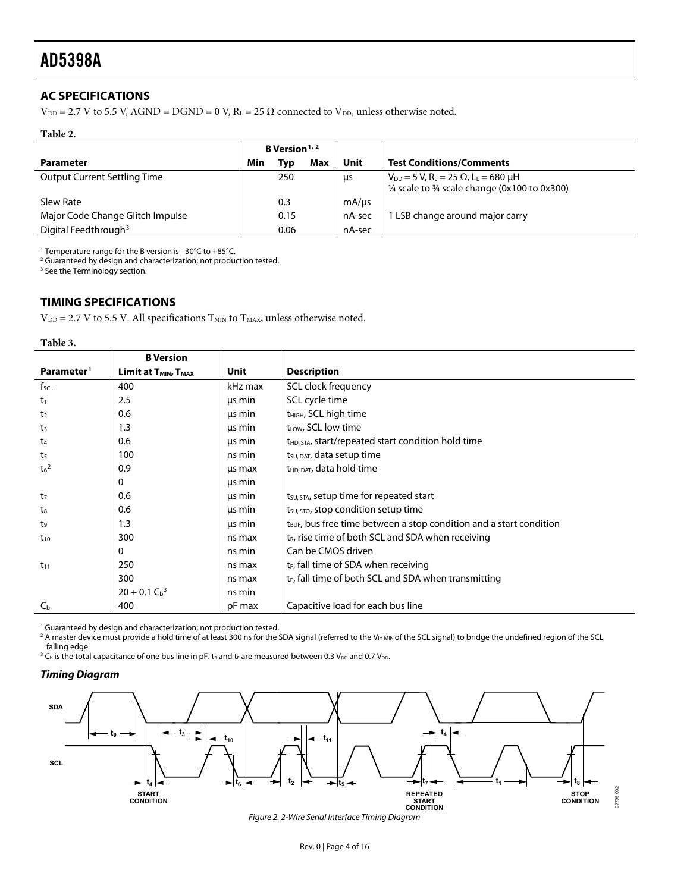#### <span id="page-3-1"></span><span id="page-3-0"></span>**AC SPECIFICATIONS**

 $V_{DD} = 2.7$  V to 5.5 V, AGND = DGND = 0 V, R<sub>L</sub> = 25  $\Omega$  connected to V<sub>DD</sub>, unless otherwise noted.

#### **Table 2.**

|                                     | <b>B</b> Version <sup><math>1, 2</math></sup> |      |     |        |                                                                                                                                               |
|-------------------------------------|-----------------------------------------------|------|-----|--------|-----------------------------------------------------------------------------------------------------------------------------------------------|
| Parameter                           | Min                                           | Tvɒ  | Max | Unit   | <b>Test Conditions/Comments</b>                                                                                                               |
| <b>Output Current Settling Time</b> |                                               | 250  |     | us     | $V_{DD} = 5 V$ , R <sub>L</sub> = 25 $\Omega$ , L <sub>L</sub> = 680 µH<br>$\frac{1}{4}$ scale to $\frac{3}{4}$ scale change (0x100 to 0x300) |
| Slew Rate                           |                                               | 0.3  |     | mA/µs  |                                                                                                                                               |
| Major Code Change Glitch Impulse    |                                               | 0.15 |     | nA-sec | LSB change around major carry                                                                                                                 |
| Digital Feedthrough <sup>3</sup>    |                                               | 0.06 |     | nA-sec |                                                                                                                                               |

<sup>1</sup> Temperature range for the B version is −30°C to +85°C.<br><sup>2</sup> Guaranteed by design and characterization: not produ

<sup>2</sup> Guaranteed by design and characterization; not production tested.

<sup>3</sup> See the Terminology section.

#### **TIMING SPECIFICATIONS**

 $\mathrm{V_{DD}}$  = 2.7 V to 5.5 V. All specifications  $\mathrm{T_{MIN}}$  to  $\mathrm{T_{MAX}}$  unless otherwise noted.

| DI<br>ı<br>11 |  |
|---------------|--|
|---------------|--|

|                             | <b>B</b> Version                             |             |                                                                                 |
|-----------------------------|----------------------------------------------|-------------|---------------------------------------------------------------------------------|
| Parameter <sup>1</sup>      | Limit at T <sub>MIN</sub> , T <sub>MAX</sub> | <b>Unit</b> | <b>Description</b>                                                              |
| f <sub>scl</sub>            | 400                                          | kHz max     | SCL clock frequency                                                             |
| t <sub>1</sub>              | 2.5                                          | us min      | SCL cycle time                                                                  |
| t <sub>2</sub>              | 0.6                                          | μs min      | t <sub>HIGH</sub> , SCL high time                                               |
| t3                          | 1.3                                          | μs min      | t <sub>LOW</sub> , SCL low time                                                 |
| t4                          | 0.6                                          | us min      | t <sub>HD, STA</sub> , start/repeated start condition hold time                 |
| t <sub>5</sub>              | 100                                          | ns min      | t <sub>su, DAT</sub> , data setup time                                          |
| t <sub>6</sub> <sup>2</sup> | 0.9                                          | us max      | t <sub>HD, DAT</sub> , data hold time                                           |
|                             | 0                                            | us min      |                                                                                 |
| t <sub>7</sub>              | 0.6                                          | us min      | t <sub>su, STA</sub> , setup time for repeated start                            |
| t.                          | 0.6                                          | us min      | t <sub>su, stop</sub> condition setup time                                      |
| t9                          | 1.3                                          | us min      | t <sub>BUF</sub> , bus free time between a stop condition and a start condition |
| $t_{10}$                    | 300                                          | ns max      | $t_R$ , rise time of both SCL and SDA when receiving                            |
|                             | $\mathbf{0}$                                 | ns min      | Can be CMOS driven                                                              |
| $t_{11}$                    | 250                                          | ns max      | t <sub>E</sub> , fall time of SDA when receiving                                |
|                             | 300                                          | ns max      | $t_F$ , fall time of both SCL and SDA when transmitting                         |
|                             | $20 + 0.1 Cb$ <sup>3</sup>                   | ns min      |                                                                                 |
| $C_{b}$                     | 400                                          | pF max      | Capacitive load for each bus line                                               |

<sup>1</sup> Guaranteed by design and characterization; not production tested.

<sup>2</sup> A master device must provide a hold time of at least 300 ns for the SDA signal (referred to the VH MIN of the SCL signal) to bridge the undefined region of the SCL falling edge.

 $^3$  C<sub>b</sub> is the total capacitance of one bus line in pF. t<sub>R</sub> and t<sub>F</sub> are measured between 0.3 V<sub>DD</sub> and 0.7 V<sub>DD</sub>.

#### **Timing Diagram**



Figure 2. 2-Wire Serial Interface Timing Diagram

07795-002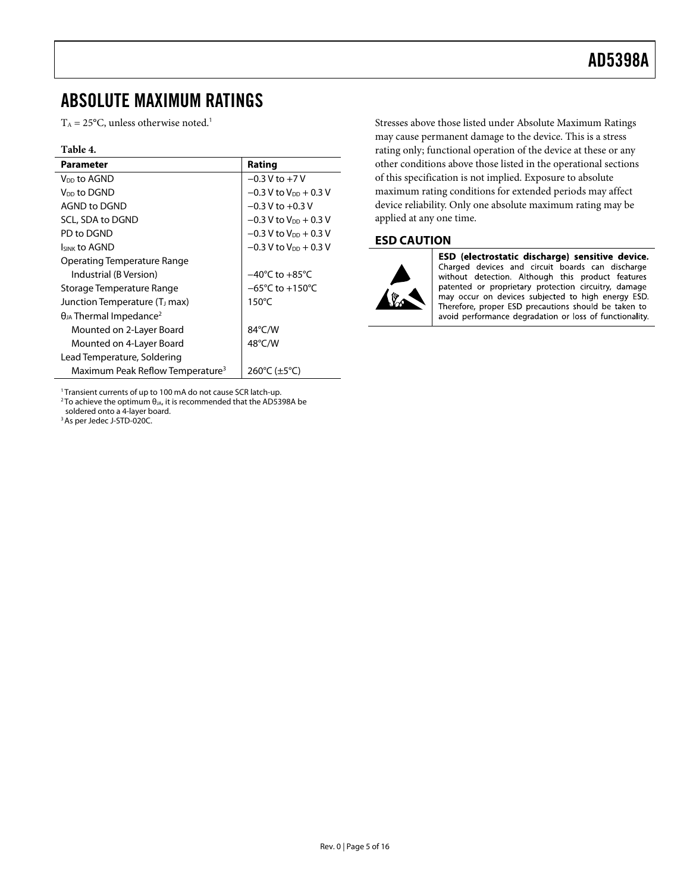### <span id="page-4-0"></span>ABSOLUTE MAXIMUM RATINGS

 $T_A = 25$ °C, unless otherwise noted.<sup>1</sup>

#### **Table 4.**

| <b>Parameter</b>                             | Rating                              |
|----------------------------------------------|-------------------------------------|
| V <sub>DD</sub> to AGND                      | $-0.3$ V to $+7$ V                  |
| V <sub>DD</sub> to DGND                      | $-0.3$ V to $V_{DD}$ + 0.3 V        |
| AGND to DGND                                 | $-0.3$ V to $+0.3$ V                |
| SCL, SDA to DGND                             | $-0.3$ V to V <sub>DD</sub> + 0.3 V |
| PD to DGND                                   | $-0.3$ V to V <sub>pp</sub> + 0.3 V |
| <b>ISINK TO AGND</b>                         | $-0.3$ V to V <sub>DD</sub> + 0.3 V |
| Operating Temperature Range                  |                                     |
| Industrial (B Version)                       | $-40^{\circ}$ C to $+85^{\circ}$ C  |
| Storage Temperature Range                    | $-65^{\circ}$ C to $+150^{\circ}$ C |
| Junction Temperature (T <sub>J</sub> max)    | $150^{\circ}$ C                     |
| $\theta_{JA}$ Thermal Impedance <sup>2</sup> |                                     |
| Mounted on 2-Layer Board                     | 84°C/W                              |
| Mounted on 4-Layer Board                     | $48^{\circ}$ C/W                    |
| Lead Temperature, Soldering                  |                                     |
| Maximum Peak Reflow Temperature <sup>3</sup> | 260°C ( $\pm$ 5°C)                  |

<sup>1</sup> Transient currents of up to 100 mA do not cause SCR latch-up.<br><sup>2</sup> To achieve the optimum θ<sub>JA</sub>, it is recommended that the AD5398A be

soldered onto a 4-layer board.

<sup>3</sup> As per Jedec J-STD-020C.

Stresses above those listed under Absolute Maximum Ratings may cause permanent damage to the device. This is a stress rating only; functional operation of the device at these or any other conditions above those listed in the operational sections of this specification is not implied. Exposure to absolute maximum rating conditions for extended periods may affect device reliability. Only one absolute maximum rating may be applied at any one time.

#### **ESD CAUTION**



ESD (electrostatic discharge) sensitive device. Charged devices and circuit boards can discharge without detection. Although this product features patented or proprietary protection circuitry, damage may occur on devices subjected to high energy ESD. Therefore, proper ESD precautions should be taken to avoid performance degradation or loss of functionality.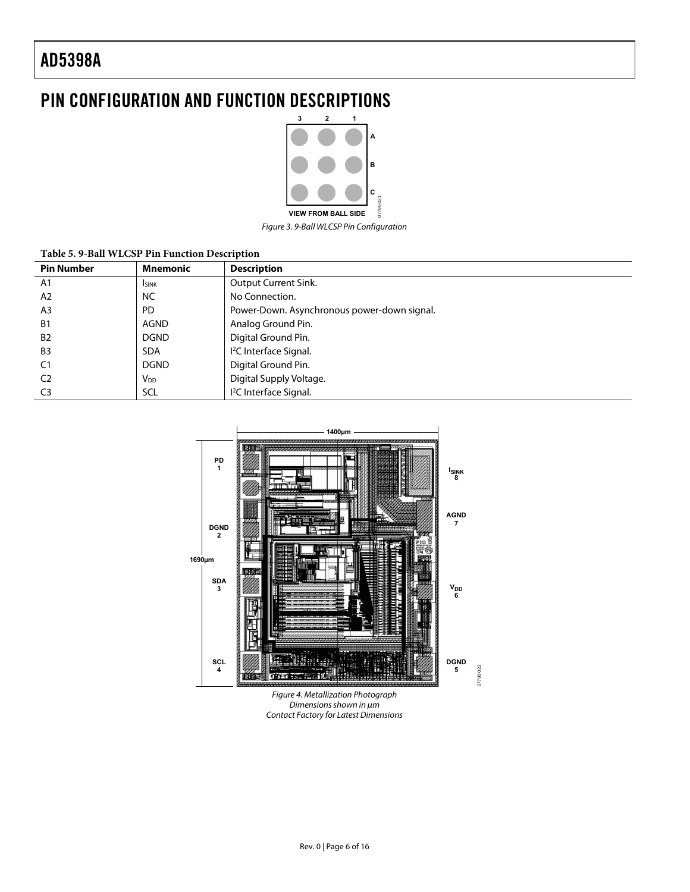### <span id="page-5-0"></span>PIN CONFIGURATION AND FUNCTION DESCRIPTIONS



Figure 3. 9-Ball WLCSP Pin Configuration

#### **Table 5. 9-Ball WLCSP Pin Function Description**

| <b>Pin Number</b> | <b>Mnemonic</b> | <b>Description</b>                          |
|-------------------|-----------------|---------------------------------------------|
| A1                | <b>ISINK</b>    | Output Current Sink.                        |
| A <sub>2</sub>    | <b>NC</b>       | No Connection.                              |
| A <sub>3</sub>    | <b>PD</b>       | Power-Down. Asynchronous power-down signal. |
| <b>B1</b>         | AGND            | Analog Ground Pin.                          |
| <b>B2</b>         | <b>DGND</b>     | Digital Ground Pin.                         |
| B <sub>3</sub>    | <b>SDA</b>      | <sup>12</sup> C Interface Signal.           |
| C <sub>1</sub>    | <b>DGND</b>     | Digital Ground Pin.                         |
| C <sub>2</sub>    | V <sub>DD</sub> | Digital Supply Voltage.                     |
| C <sub>3</sub>    | SCL             | <sup>12</sup> C Interface Signal.           |



Figure 4. Metallization Photograph Dimensions shown in μm Contact Factory for Latest Dimensions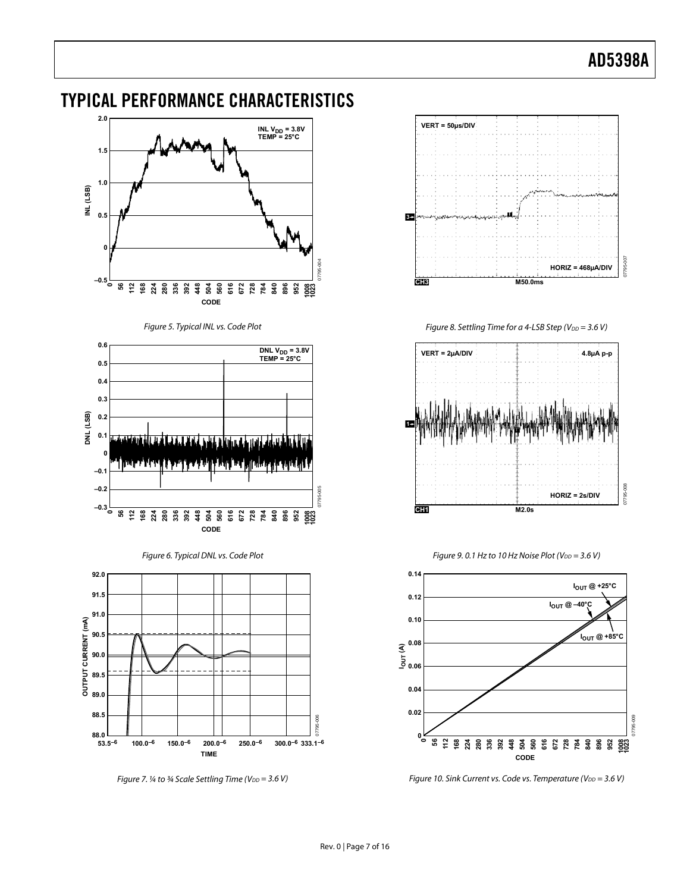#### <span id="page-6-1"></span>**2.0** INL V<sub>DD</sub> = 3.8V<br>TEMP = 25°C **1.5 1.0 INL (LSB) 0.5 0** 07795-004 **–0.5 112 168 56 224 280 336 392 448 504 560 1008 1023 616 672 728 784 840 896 952 CODE** Figure 5. Typical INL vs. Code Plot **0.6** DNL V<sub>DD</sub> = 3.8V<br>TEMP = 25°C **0.5 0.4 0.3** DNL (LSB) **DNL (LSB) 0.2 0.1 0 –0.1 –0.2**  $\frac{8}{2}$ 07795-005 **–0.3 0168 448 112 56 224 280 336 392 504 560 616 672 728 784 840 896 952 1008 1023 CODE** Figure 6. Typical DNL vs. Code Plot **92.0 91.5 91.0 OUTPUT CURRENT (mA) 90.5 90.0 89.5 89.0 88.5 53.5–6 100.0–6 150.0–6 200.0–6 250.0–6 300.0–6 333.1–6 88.0**

<span id="page-6-0"></span>TYPICAL PERFORMANCE CHARACTERISTICS

**TIME**



Figure 8. Settling Time for a 4-LSB Step ( $V_{DD}$  = 3.6 V)



Figure 9. 0.1 Hz to 10 Hz Noise Plot ( $V_{DD} = 3.6$  V)



Figure 10. Sink Current vs. Code vs. Temperature ( $V_{DD} = 3.6 V$ )

<span id="page-6-2"></span>Figure 7. ¼ to ¾ Scale Settling Time ( $V_{DD} = 3.6$  V)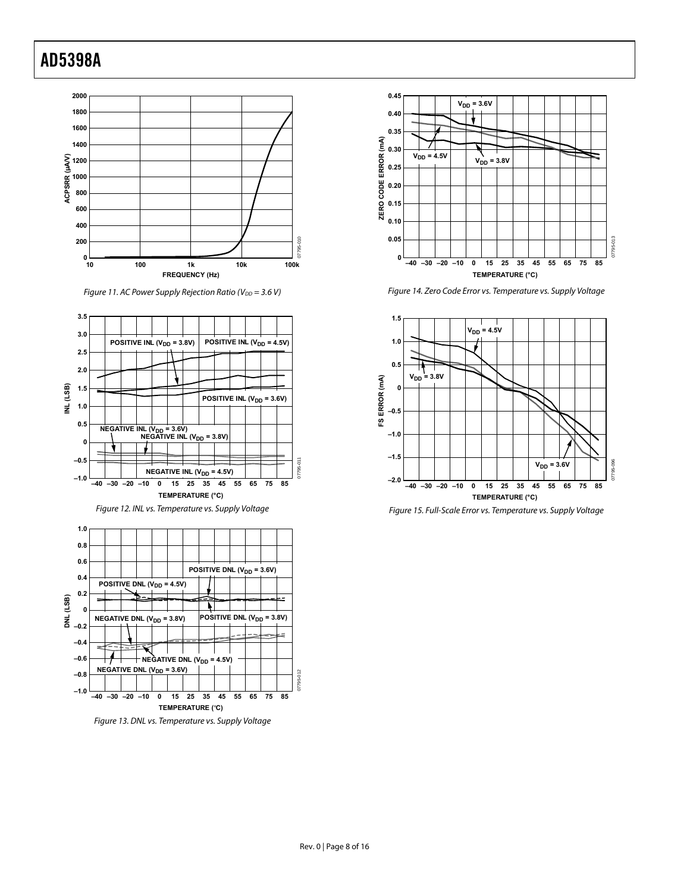

Figure 11. AC Power Supply Rejection Ratio (V $_{DD}$  = 3.6 V)



Figure 12. INL vs. Temperature vs. Supply Voltage







Figure 14. Zero Code Error vs. Temperature vs. Supply Voltage



Figure 15. Full-Scale Error vs. Temperature vs. Supply Voltage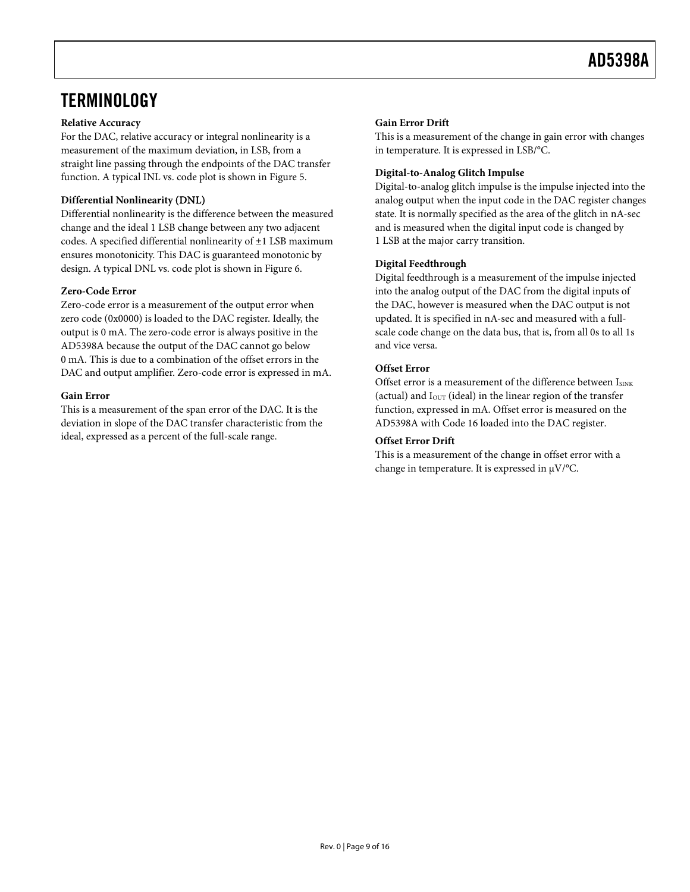### <span id="page-8-0"></span>**TERMINOLOGY**

#### **Relative Accuracy**

For the DAC, relative accuracy or integral nonlinearity is a measurement of the maximum deviation, in LSB, from a straight line passing through the endpoints of the DAC transfer function. A typical INL vs. code plot is shown in [Figure 5](#page-6-1).

#### **Differential Nonlinearity** (DNL)

Differential nonlinearity is the difference between the measured change and the ideal 1 LSB change between any two adjacent codes. A specified differential nonlinearity of ±1 LSB maximum ensures monotonicity. This DAC is guaranteed monotonic by design. A typical DNL vs. code plot is shown in [Figure 6](#page-6-2).

#### **Zero-Code Error**

Zero-code error is a measurement of the output error when zero code (0x0000) is loaded to the DAC register. Ideally, the output is 0 mA. The zero-code error is always positive in the AD5398A because the output of the DAC cannot go below 0 mA. This is due to a combination of the offset errors in the DAC and output amplifier. Zero-code error is expressed in mA.

#### **Gain Error**

This is a measurement of the span error of the DAC. It is the deviation in slope of the DAC transfer characteristic from the ideal, expressed as a percent of the full-scale range.

#### **Gain Error Drift**

This is a measurement of the change in gain error with changes in temperature. It is expressed in LSB/°C.

#### **Digital-to-Analog Glitch Impulse**

Digital-to-analog glitch impulse is the impulse injected into the analog output when the input code in the DAC register changes state. It is normally specified as the area of the glitch in nA-sec and is measured when the digital input code is changed by 1 LSB at the major carry transition.

#### **Digital Feedthrough**

Digital feedthrough is a measurement of the impulse injected into the analog output of the DAC from the digital inputs of the DAC, however is measured when the DAC output is not updated. It is specified in nA-sec and measured with a fullscale code change on the data bus, that is, from all 0s to all 1s and vice versa.

#### **Offset Error**

Offset error is a measurement of the difference between  $I_{\text{SINK}}$ (actual) and  $I<sub>OUT</sub>$  (ideal) in the linear region of the transfer function, expressed in mA. Offset error is measured on the AD5398A with Code 16 loaded into the DAC register.

#### **Offset Error Drift**

This is a measurement of the change in offset error with a change in temperature. It is expressed in μV/°C.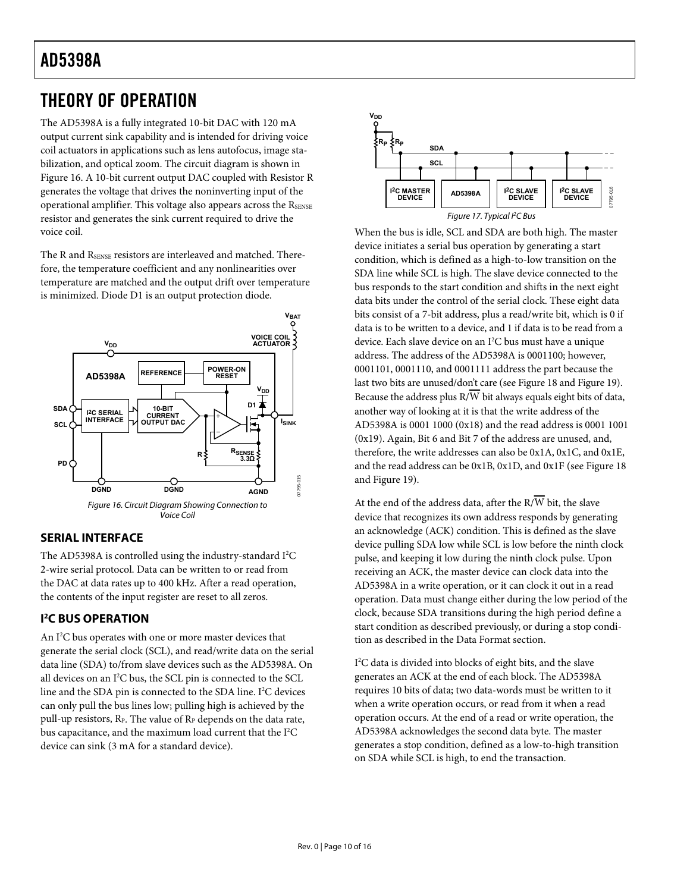### <span id="page-9-0"></span>THEORY OF OPERATION

The AD5398A is a fully integrated 10-bit DAC with 120 mA output current sink capability and is intended for driving voice coil actuators in applications such as lens autofocus, image stabilization, and optical zoom. The circuit diagram is shown in [Figure 16](#page-9-1). A 10-bit current output DAC coupled with Resistor R generates the voltage that drives the noninverting input of the operational amplifier. This voltage also appears across the RSENSE resistor and generates the sink current required to drive the voice coil.

The R and RSENSE resistors are interleaved and matched. Therefore, the temperature coefficient and any nonlinearities over temperature are matched and the output drift over temperature is minimized. Diode D1 is an output protection diode.



#### <span id="page-9-1"></span>**SERIAL INTERFACE**

The AD5398A is controlled using the industry-standard I<sup>2</sup>C 2-wire serial protocol. Data can be written to or read from the DAC at data rates up to 400 kHz. After a read operation, the contents of the input register are reset to all zeros.

### **I 2 C BUS OPERATION**

An I<sup>2</sup>C bus operates with one or more master devices that generate the serial clock (SCL), and read/write data on the serial data line (SDA) to/from slave devices such as the AD5398A. On all devices on an I<sup>2</sup>C bus, the SCL pin is connected to the SCL line and the SDA pin is connected to the SDA line. I<sup>2</sup>C devices can only pull the bus lines low; pulling high is achieved by the pull-up resistors, R<sub>P</sub>. The value of R<sub>P</sub> depends on the data rate, bus capacitance, and the maximum load current that the I<sup>2</sup>C device can sink (3 mA for a standard device).



When the bus is idle, SCL and SDA are both high. The master device initiates a serial bus operation by generating a start condition, which is defined as a high-to-low transition on the SDA line while SCL is high. The slave device connected to the bus responds to the start condition and shifts in the next eight data bits under the control of the serial clock. These eight data bits consist of a 7-bit address, plus a read/write bit, which is 0 if data is to be written to a device, and 1 if data is to be read from a device. Each slave device on an I<sup>2</sup>C bus must have a unique address. The address of the AD5398A is 0001100; however, 0001101, 0001110, and 0001111 address the part because the last two bits are unused/don't care (see [Figure 18](#page-10-1) and [Figure 19](#page-10-2)). Because the address plus  $R/\overline{W}$  bit always equals eight bits of data, another way of looking at it is that the write address of the AD5398A is 0001 1000 (0x18) and the read address is 0001 1001 (0x19). Again, Bit 6 and Bit 7 of the address are unused, and, therefore, the write addresses can also be 0x1A, 0x1C, and 0x1E, and the read address can be 0x1B, 0x1D, and 0x1F (see [Figure 18](#page-10-1) andFigure 19).

At the end of the address data, after the  $R/\overline{W}$  bit, the slave device that recognizes its own address responds by generating an acknowledge (ACK) condition. This is defined as the slave device pulling SDA low while SCL is low before the ninth clock pulse, and keeping it low during the ninth clock pulse. Upon receiving an ACK, the master device can clock data into the AD5398A in a write operation, or it can clock it out in a read operation. Data must change either during the low period of the clock, because SDA transitions during the high period define a start condition as described previously, or during a stop condition as described in the [Data Format](#page-10-3) section.

I 2 C data is divided into blocks of eight bits, and the slave generates an ACK at the end of each block. The AD5398A requires 10 bits of data; two data-words must be written to it when a write operation occurs, or read from it when a read operation occurs. At the end of a read or write operation, the AD5398A acknowledges the second data byte. The master generates a stop condition, defined as a low-to-high transition on SDA while SCL is high, to end the transaction.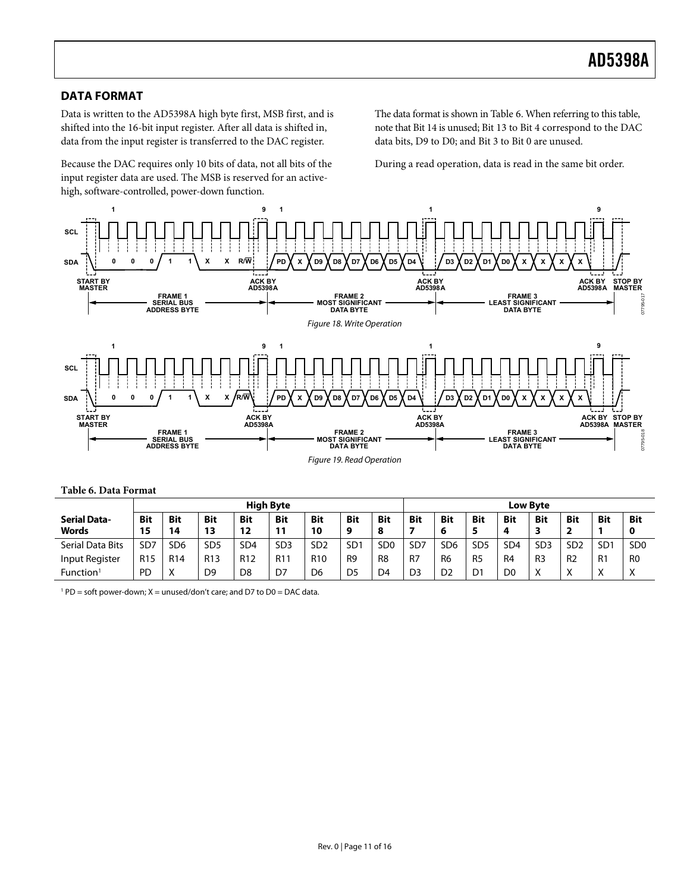#### <span id="page-10-3"></span><span id="page-10-0"></span>**DATA FORMAT**

Data is written to the AD5398A high byte first, MSB first, and is shifted into the 16-bit input register. After all data is shifted in, data from the input register is transferred to the DAC register.

Because the DAC requires only 10 bits of data, not all bits of the input register data are used. The MSB is reserved for an activehigh, software-controlled, power-down function.

The data format is shown in [Table 6](#page-10-4). When referring to this table, note that Bit 14 is unused; Bit 13 to Bit 4 correspond to the DAC data bits, D9 to D0; and Bit 3 to Bit 0 are unused.

During a read operation, data is read in the same bit order.

<span id="page-10-1"></span>

<span id="page-10-2"></span>**Table 6. Data Format**

<span id="page-10-4"></span>

|                              | <b>High Byte</b> |                  |                  |                  |                  |                  | <b>Low Byte</b> |                             |                 |                 |                 |                 |                 |                  |                 |                           |
|------------------------------|------------------|------------------|------------------|------------------|------------------|------------------|-----------------|-----------------------------|-----------------|-----------------|-----------------|-----------------|-----------------|------------------|-----------------|---------------------------|
| <b>Serial Data-</b><br>Words | <b>Bit</b><br>15 | <b>Bit</b><br>14 | <b>Bit</b><br>13 | <b>Bit</b><br>12 | <b>Bit</b><br>11 | <b>Bit</b><br>10 | <b>Bit</b><br>9 | <b>Bit</b><br>8             | <b>Bit</b>      | <b>Bit</b><br>6 | <b>Bit</b><br>5 | <b>Bit</b>      | <b>Bit</b>      | <b>Bit</b><br>-2 | <b>Bit</b>      | <b>Bit</b><br>0           |
| Serial Data Bits             | SD7              | SD <sub>6</sub>  | SD <sub>5</sub>  | SD <sub>4</sub>  | SD <sub>3</sub>  | SD <sub>2</sub>  | SD <sub>1</sub> | S <sub>D</sub> <sub>0</sub> | SD <sub>7</sub> | SD <sub>6</sub> | SD <sub>5</sub> | SD <sub>4</sub> | SD <sub>3</sub> | SD <sub>2</sub>  | SD <sub>1</sub> | SD <sub>0</sub>           |
| Input Register               | R <sub>15</sub>  | R <sub>14</sub>  | R <sub>13</sub>  | R <sub>12</sub>  | R <sub>11</sub>  | R <sub>10</sub>  | R <sub>9</sub>  | R <sub>8</sub>              | - R7            | R <sub>6</sub>  | R <sub>5</sub>  | R <sub>4</sub>  | R <sub>3</sub>  | R <sub>2</sub>   | R <sub>1</sub>  | R <sub>0</sub>            |
| Function <sup>1</sup>        | <b>PD</b>        | Χ                | D <sub>9</sub>   | D <sub>8</sub>   | D7               | D6               | D5              | D <sub>4</sub>              | D <sub>3</sub>  | D <sub>2</sub>  | D <sub>1</sub>  | D <sub>0</sub>  | X               | Χ                | $\checkmark$    | $\checkmark$<br>$\lambda$ |

 $1^{1}$  PD = soft power-down; X = unused/don't care; and D7 to D0 = DAC data.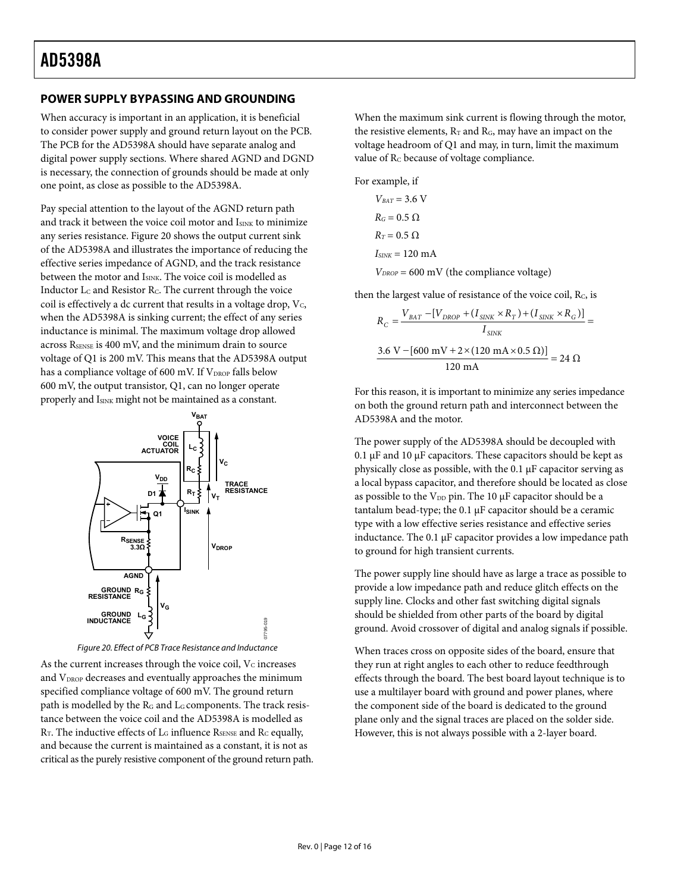#### <span id="page-11-0"></span>**POWER SUPPLY BYPASSING AND GROUNDING**

When accuracy is important in an application, it is beneficial to consider power supply and ground return layout on the PCB. The PCB for the AD5398A should have separate analog and digital power supply sections. Where shared AGND and DGND is necessary, the connection of grounds should be made at only one point, as close as possible to the AD5398A.

Pay special attention to the layout of the AGND return path and track it between the voice coil motor and ISINK to minimize any series resistance. [Figure 20](#page-11-1) shows the output current sink of the AD5398A and illustrates the importance of reducing the effective series impedance of AGND, and the track resistance between the motor and ISINK. The voice coil is modelled as Inductor L<sub>C</sub> and Resistor R<sub>C</sub>. The current through the voice coil is effectively a dc current that results in a voltage drop,  $V_c$ , when the AD5398A is sinking current; the effect of any series inductance is minimal. The maximum voltage drop allowed across R<sub>SENSE</sub> is 400 mV, and the minimum drain to source voltage of Q1 is 200 mV. This means that the AD5398A output has a compliance voltage of 600 mV. If V<sub>DROP</sub> falls below 600 mV, the output transistor, Q1, can no longer operate properly and I<sub>SINK</sub> might not be maintained as a constant.



Figure 20. Effect of PCB Trace Resistance and Inductance

<span id="page-11-1"></span>As the current increases through the voice coil,  $V_c$  increases and  $V_{DROP}$  decreases and eventually approaches the minimum specified compliance voltage of 600 mV. The ground return path is modelled by the R<sub>G</sub> and L<sub>G</sub> components. The track resistance between the voice coil and the AD5398A is modelled as R<sub>T</sub>. The inductive effects of L<sub>G</sub> influence R<sub>SENSE</sub> and R<sub>C</sub> equally, and because the current is maintained as a constant, it is not as critical as the purely resistive component of the ground return path. When the maximum sink current is flowing through the motor, the resistive elements,  $R_T$  and  $R_G$ , may have an impact on the voltage headroom of Q1 and may, in turn, limit the maximum value of R<sub>C</sub> because of voltage compliance.

For example, if

$$
V_{BAT} = 3.6 \text{ V}
$$
  
\n
$$
R_G = 0.5 \Omega
$$
  
\n
$$
R_T = 0.5 \Omega
$$
  
\n
$$
I_{SINK} = 120 \text{ mA}
$$
  
\n
$$
V_{DROP} = 600 \text{ mV (the)}
$$

then the largest value of resistance of the voice coil, R<sub>C</sub>, is

compliance voltage)

$$
R_C = \frac{V_{BAT} - [V_{DROP} + (I_{SINK} \times R_T) + (I_{SINK} \times R_G)]}{I_{SINK}}
$$
  
= 
$$
\frac{3.6 \text{ V} - [600 \text{ mV} + 2 \times (120 \text{ mA} \times 0.5 \Omega)]}{120 \text{ mA}} = 24 \Omega
$$

For this reason, it is important to minimize any series impedance on both the ground return path and interconnect between the AD5398A and the motor.

The power supply of the AD5398A should be decoupled with 0.1 μF and 10 μF capacitors. These capacitors should be kept as physically close as possible, with the 0.1 μF capacitor serving as a local bypass capacitor, and therefore should be located as close as possible to the V<sub>DD</sub> pin. The 10 μF capacitor should be a tantalum bead-type; the 0.1 μF capacitor should be a ceramic type with a low effective series resistance and effective series inductance. The 0.1 μF capacitor provides a low impedance path to ground for high transient currents.

The power supply line should have as large a trace as possible to provide a low impedance path and reduce glitch effects on the supply line. Clocks and other fast switching digital signals should be shielded from other parts of the board by digital ground. Avoid crossover of digital and analog signals if possible.

When traces cross on opposite sides of the board, ensure that they run at right angles to each other to reduce feedthrough effects through the board. The best board layout technique is to use a multilayer board with ground and power planes, where the component side of the board is dedicated to the ground plane only and the signal traces are placed on the solder side. However, this is not always possible with a 2-layer board.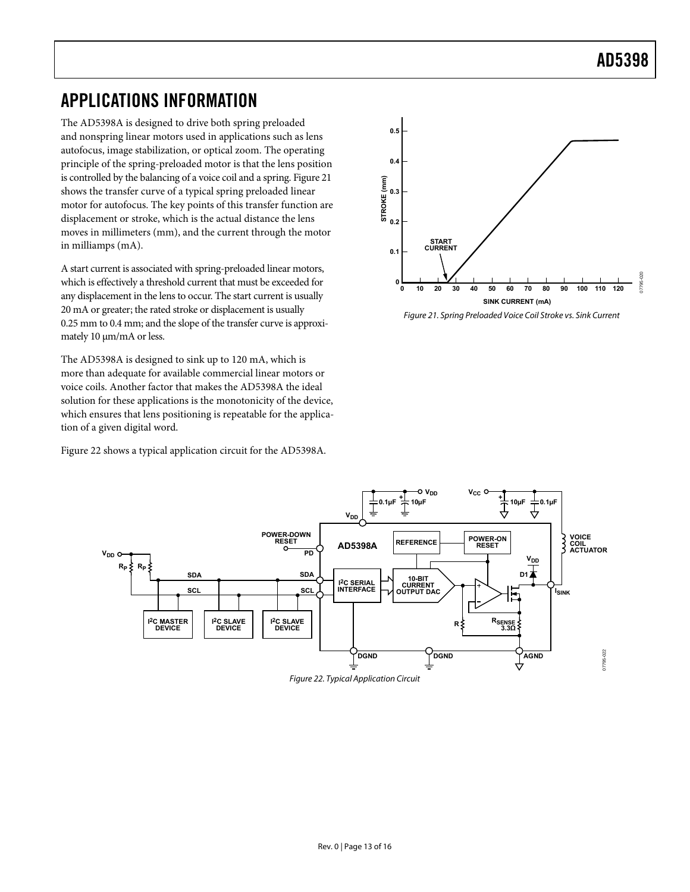### AD5398

### <span id="page-12-0"></span>APPLICATIONS INFORMATION

The AD5398A is designed to drive both spring preloaded and nonspring linear motors used in applications such as lens autofocus, image stabilization, or optical zoom. The operating principle of the spring-preloaded motor is that the lens position is controlled by the balancing of a voice coil and a spring. [Figure 21](#page-12-1) shows the transfer curve of a typical spring preloaded linear motor for autofocus. The key points of this transfer function are displacement or stroke, which is the actual distance the lens moves in millimeters (mm), and the current through the motor in milliamps (mA).

A start current is associated with spring-preloaded linear motors, which is effectively a threshold current that must be exceeded for any displacement in the lens to occur. The start current is usually 20 mA or greater; the rated stroke or displacement is usually 0.25 mm to 0.4 mm; and the slope of the transfer curve is approximately 10 μm/mA or less.

<span id="page-12-1"></span>The AD5398A is designed to sink up to 120 mA, which is more than adequate for available commercial linear motors or voice coils. Another factor that makes the AD5398A the ideal solution for these applications is the monotonicity of the device, which ensures that lens positioning is repeatable for the application of a given digital word.

[Figure 22](#page-12-2) shows a typical application circuit for the AD5398A.



Figure 21. Spring Preloaded Voice Coil Stroke vs. Sink Current

<span id="page-12-2"></span>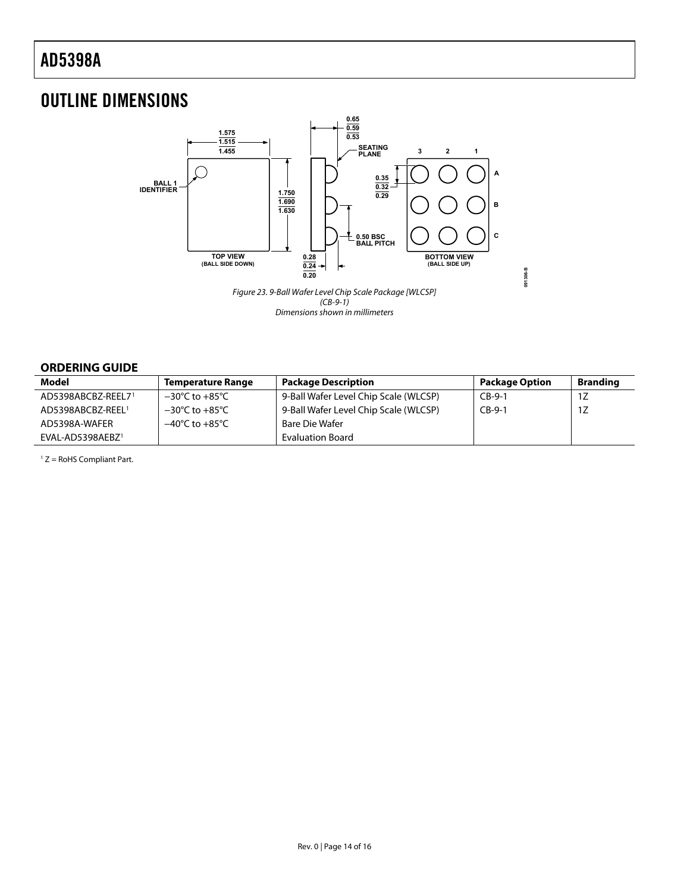### <span id="page-13-0"></span>OUTLINE DIMENSIONS



 $(CB-9-1)$ Dimensions shown in millimeters

#### **ORDERING GUIDE**

<span id="page-13-1"></span>

| Model              | <b>Temperature Range</b>           | <b>Package Description</b>            | <b>Package Option</b> | <b>Branding</b> |
|--------------------|------------------------------------|---------------------------------------|-----------------------|-----------------|
| AD5398ABCBZ-REEL71 | $-30^{\circ}$ C to $+85^{\circ}$ C | 9-Ball Wafer Level Chip Scale (WLCSP) | $CB-9-1$              | 1Z              |
| AD5398ABCBZ-REEL1  | $-30^{\circ}$ C to $+85^{\circ}$ C | 9-Ball Wafer Level Chip Scale (WLCSP) | $CB-9-1$              | 1Z              |
| AD5398A-WAFER      | $-40^{\circ}$ C to $+85^{\circ}$ C | Bare Die Wafer                        |                       |                 |
| EVAL-AD5398AEBZ1   |                                    | <b>Evaluation Board</b>               |                       |                 |

 $1 Z =$  RoHS Compliant Part.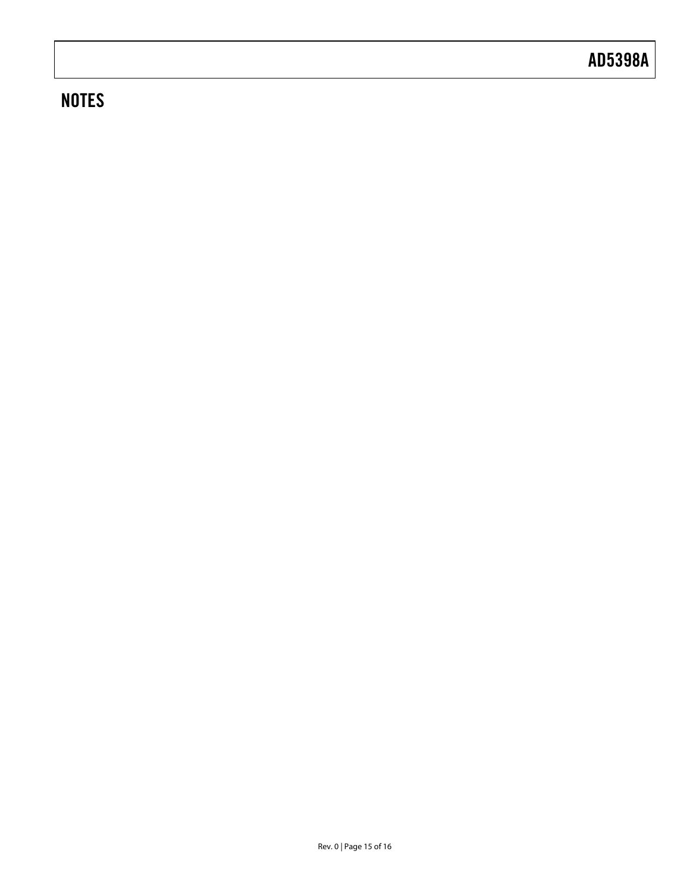### **NOTES**